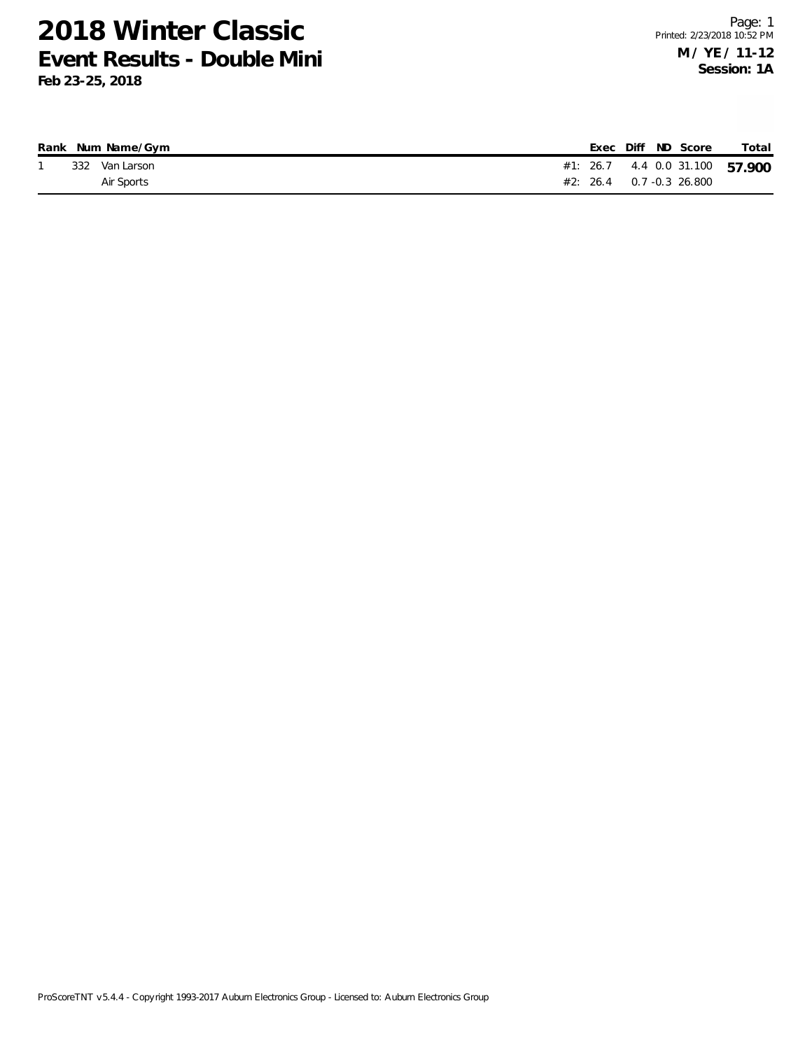|  | Rank Num Name/Gym |  |  | Exec Diff ND Score                | Total                          |
|--|-------------------|--|--|-----------------------------------|--------------------------------|
|  | 332 Van Larson    |  |  |                                   | #1: 26.7 4.4 0.0 31.100 57.900 |
|  | Air Sports        |  |  | $#2: 26.4 \qquad 0.7 -0.3$ 26.800 |                                |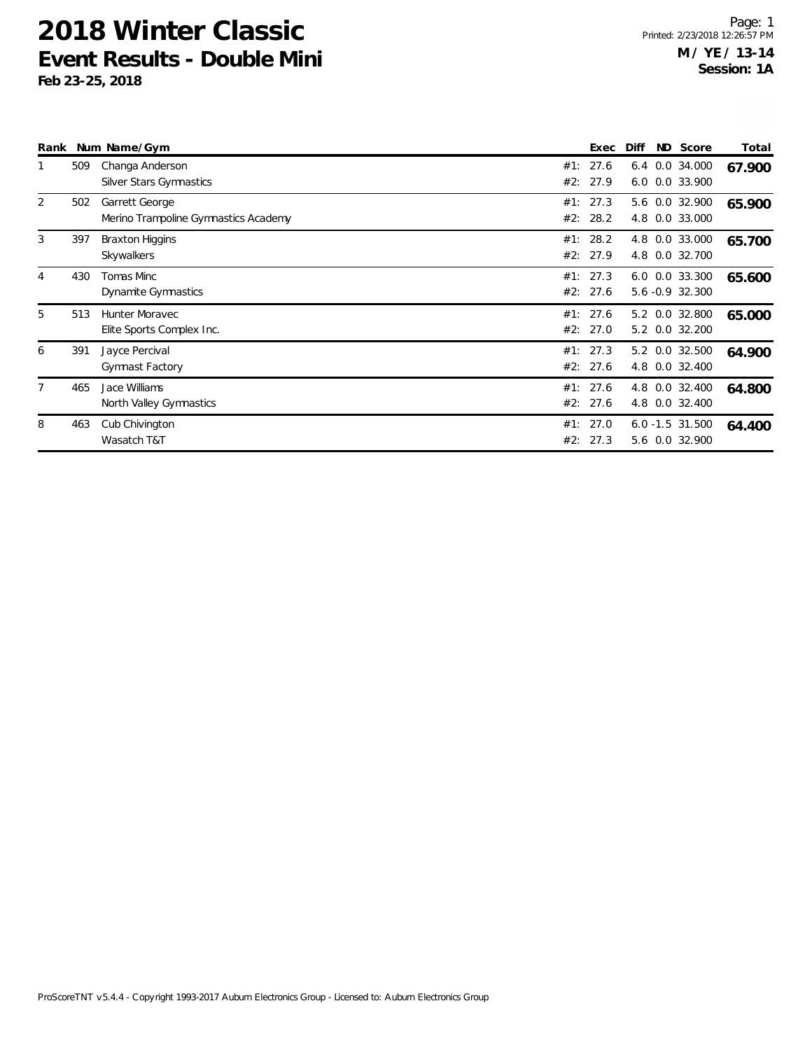| Rank           |     | Num Name/Gym                                           |            | Exec                 | Diff | ND Score                             | Total  |
|----------------|-----|--------------------------------------------------------|------------|----------------------|------|--------------------------------------|--------|
|                | 509 | Changa Anderson<br><b>Silver Stars Gymnastics</b>      | #1:<br>#2: | 27.6<br>27.9         | 6.4  | 0.0 34.000<br>6.0 0.0 33.900         | 67.900 |
| 2              | 502 | Garrett George<br>Merino Trampoline Gymnastics Academy | #1:        | 27.3<br>#2: 28.2     | 4.8  | 5.6 0.0 32.900<br>0.0 33.000         | 65.900 |
| 3              | 397 | <b>Braxton Higgins</b><br>Skywalkers                   | #1:        | 28.2<br>#2: 27.9     | 4.8  | 0.0 33.000<br>4.8 0.0 32.700         | 65.700 |
| $\overline{4}$ | 430 | Tomas Minc<br>Dynamite Gymnastics                      |            | #1: 27.3<br>#2: 27.6 |      | 6.0 0.0 33.300<br>5.6 -0.9 32.300    | 65.600 |
| 5              | 513 | Hunter Moravec<br>Elite Sports Complex Inc.            |            | #1: 27.6<br>#2: 27.0 |      | 5.2 0.0 32.800<br>5.2 0.0 32.200     | 65.000 |
| 6              | 391 | Jayce Percival<br><b>Gymnast Factory</b>               |            | #1: 27.3<br>#2: 27.6 |      | 5.2 0.0 32.500<br>4.8 0.0 32.400     | 64.900 |
| 7              | 465 | Jace Williams<br>North Valley Gymnastics               | #1:        | 27.6<br>#2: 27.6     | 4.8  | $0.0$ 32.400<br>4.8 0.0 32.400       | 64.800 |
| 8              | 463 | Cub Chivington<br>Wasatch T&T                          | #1:<br>#2: | 27.0<br>27.3         |      | $6.0 - 1.5$ 31.500<br>5.6 0.0 32.900 | 64.400 |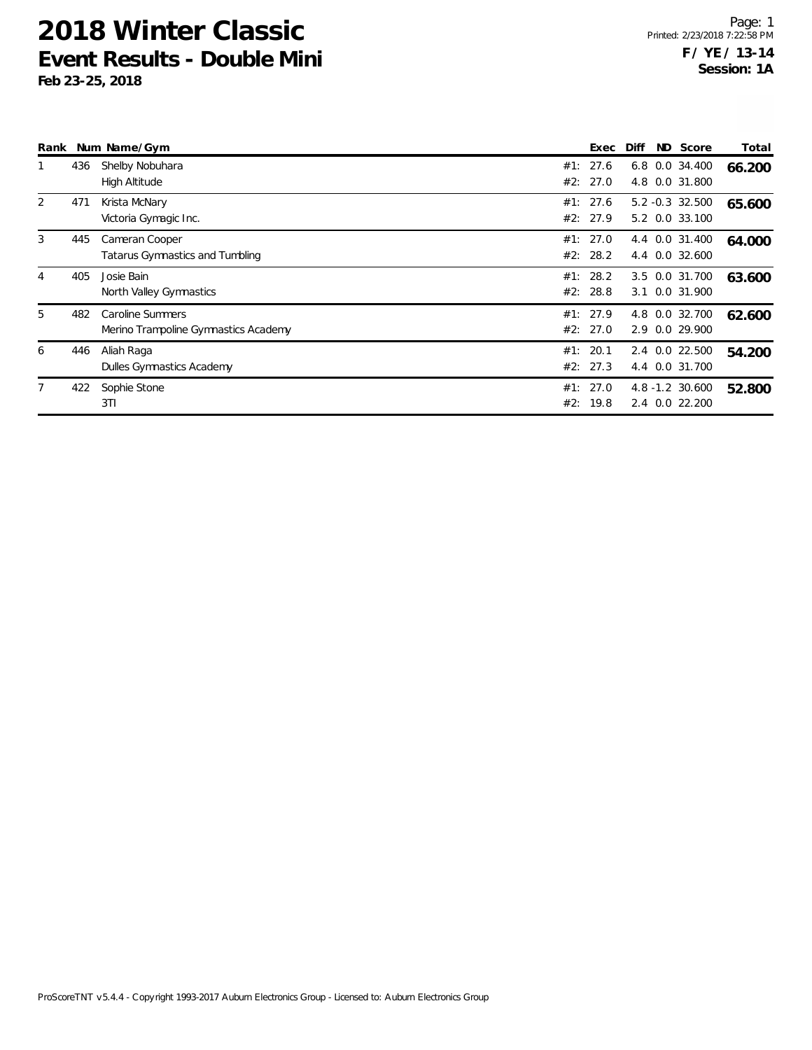| Rank |     | Num Name/Gym                                             | Exec                 | Diff | ND Score                          | Total  |
|------|-----|----------------------------------------------------------|----------------------|------|-----------------------------------|--------|
|      | 436 | Shelby Nobuhara<br>High Altitude                         | #1: 27.6<br>#2: 27.0 |      | 6.8 0.0 34.400<br>4.8 0.0 31.800  | 66.200 |
| 2    | 471 | Krista McNary<br>Victoria Gymagic Inc.                   | #1: 27.6<br>#2: 27.9 |      | 5.2 -0.3 32.500<br>5.2 0.0 33.100 | 65.600 |
| 3    | 445 | Cameran Cooper<br>Tatarus Gymnastics and Tumbling        | #1: 27.0<br>#2: 28.2 |      | 4.4 0.0 31.400<br>4.4 0.0 32.600  | 64.000 |
| 4    | 405 | Josie Bain<br>North Valley Gymnastics                    | #1: 28.2<br>#2: 28.8 |      | 3.5 0.0 31.700<br>3.1 0.0 31.900  | 63.600 |
| 5    | 482 | Caroline Summers<br>Merino Trampoline Gymnastics Academy | #1: 27.9<br>#2: 27.0 |      | 4.8 0.0 32.700<br>2.9 0.0 29.900  | 62.600 |
| 6    | 446 | Aliah Raga<br>Dulles Gymnastics Academy                  | #1: 20.1<br>#2: 27.3 |      | 2.4 0.0 22.500<br>4.4 0.0 31.700  | 54.200 |
|      | 422 | Sophie Stone<br>3T1                                      | #1: 27.0<br>#2: 19.8 |      | 4.8 -1.2 30.600<br>2.4 0.0 22.200 | 52.800 |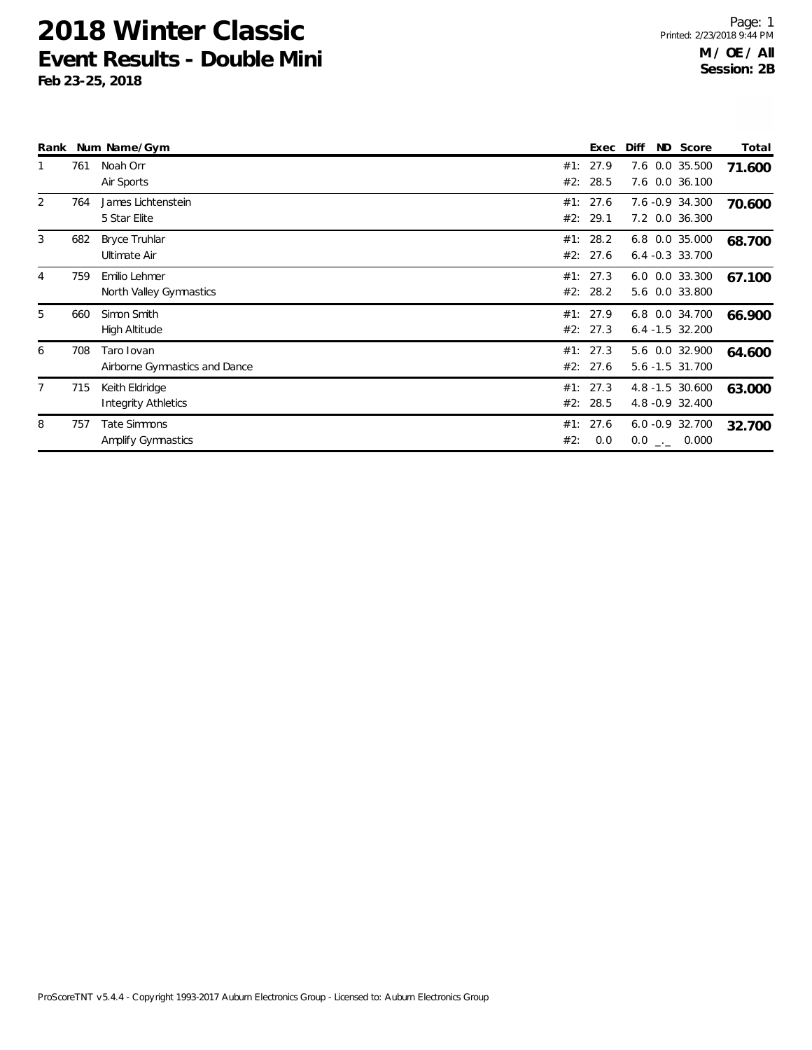|                |     | Rank Num Name/Gym                            |     | Exec                 | Diff | ND Score                              | Total  |
|----------------|-----|----------------------------------------------|-----|----------------------|------|---------------------------------------|--------|
| 1              | 761 | Noah Orr<br>Air Sports                       |     | #1: 27.9<br>#2: 28.5 |      | 7.6 0.0 35.500<br>7.6 0.0 36.100      | 71.600 |
| $\overline{2}$ | 764 | James Lichtenstein<br>5 Star Elite           |     | #1: 27.6<br>#2: 29.1 |      | 7.6 -0.9 34.300<br>7.2 0.0 36.300     | 70.600 |
| 3              | 682 | <b>Bryce Truhlar</b><br>Ultimate Air         |     | #1: 28.2<br>#2: 27.6 |      | 6.8 0.0 35.000<br>$6.4 - 0.3$ 33.700  | 68.700 |
| 4              | 759 | Emilio Lehmer<br>North Valley Gymnastics     |     | #1: 27.3<br>#2: 28.2 |      | 6.0 0.0 33.300<br>5.6 0.0 33.800      | 67.100 |
| 5              | 660 | Simon Smith<br>High Altitude                 |     | #1: 27.9<br>#2: 27.3 |      | 6.8 0.0 34.700<br>$6.4 - 1.5$ 32.200  | 66.900 |
| 6              | 708 | Taro Iovan<br>Airborne Gymnastics and Dance  |     | #1: 27.3<br>#2: 27.6 |      | 5.6 0.0 32.900<br>5.6 -1.5 31.700     | 64.600 |
| $\overline{7}$ | 715 | Keith Eldridge<br><b>Integrity Athletics</b> |     | #1: 27.3<br>#2: 28.5 |      | 4.8 -1.5 30.600<br>4.8 - 0.9 32.400   | 63.000 |
| 8              | 757 | Tate Simmons<br>Amplify Gymnastics           | #2: | #1: 27.6<br>0.0      |      | $6.0 - 0.9$ 32.700<br>$0.0$ _._ 0.000 | 32.700 |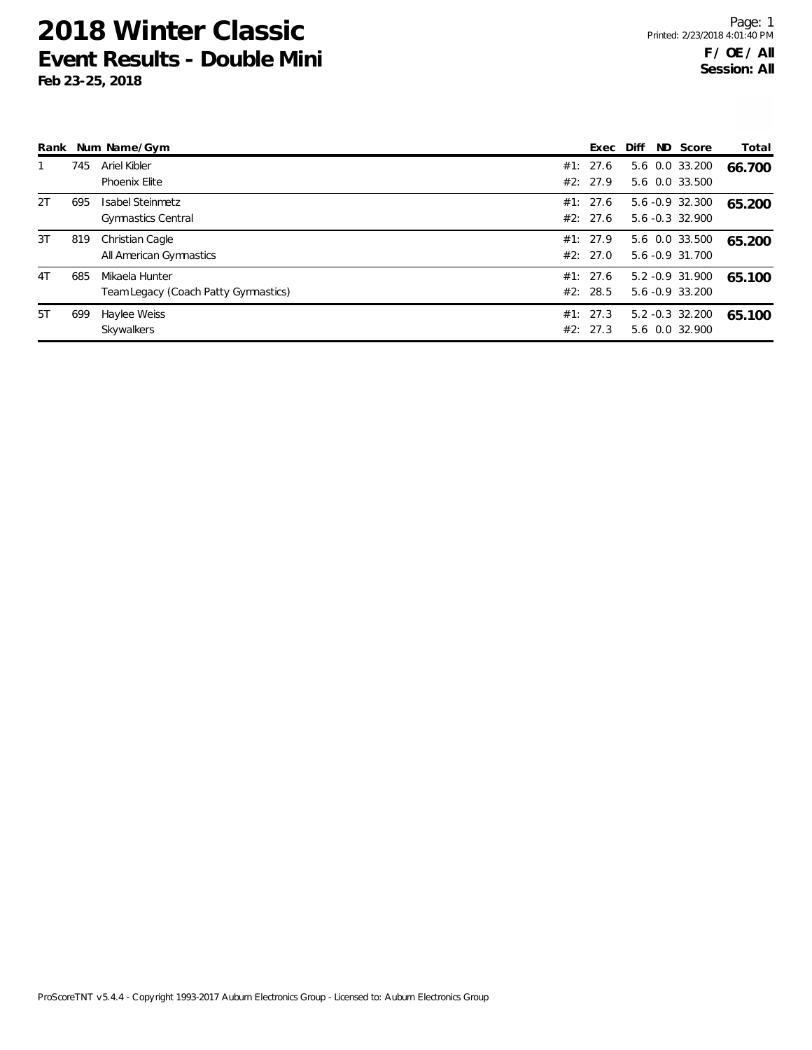| Rank           |     | Num Name/Gym                         | Exec     | Diff            | ND Score | Total  |
|----------------|-----|--------------------------------------|----------|-----------------|----------|--------|
|                | 745 | Ariel Kibler                         | #1: 27.6 | 5.6 0.0 33.200  |          | 66.700 |
|                |     | Phoenix Elite                        | #2: 27.9 | 5.6 0.0 33.500  |          |        |
| 2T             | 695 | Isabel Steinmetz                     | #1: 27.6 | 5.6 -0.9 32.300 |          | 65.200 |
|                |     | <b>Gymnastics Central</b>            | #2: 27.6 | 5.6 -0.3 32.900 |          |        |
| 3T             | 819 | Christian Cagle                      | #1: 27.9 | 5.6 0.0 33.500  |          | 65.200 |
|                |     | All American Gymnastics              | #2: 27.0 | 5.6 -0.9 31.700 |          |        |
| 4 <sub>T</sub> | 685 | Mikaela Hunter                       | #1: 27.6 | 5.2 -0.9 31.900 |          | 65.100 |
|                |     | Team Legacy (Coach Patty Gymnastics) | #2: 28.5 | 5.6 -0.9 33.200 |          |        |
| 5T             | 699 | Haylee Weiss                         | #1: 27.3 | 5.2 -0.3 32.200 |          | 65.100 |
|                |     | Skywalkers                           | #2: 27.3 | 5.6 0.0 32.900  |          |        |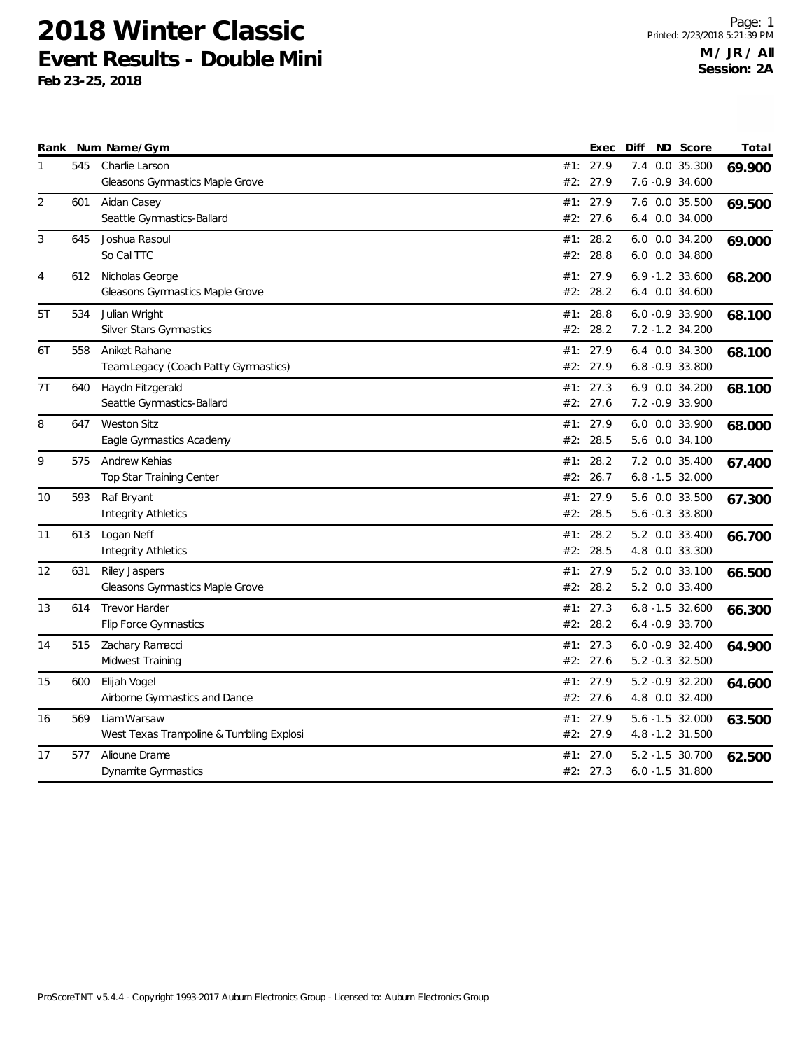|    |     | Rank Num Name/Gym                        |     | Exec     | Diff | ND Score           | Total  |
|----|-----|------------------------------------------|-----|----------|------|--------------------|--------|
| 1  | 545 | Charlie Larson                           |     | #1: 27.9 | 7.4  | 0.0 35.300         | 69.900 |
|    |     | Gleasons Gymnastics Maple Grove          | #2: | 27.9     |      | 7.6 -0.9 34.600    |        |
| 2  | 601 | Aidan Casey                              | #1: | 27.9     |      | 7.6 0.0 35.500     | 69.500 |
|    |     | Seattle Gymnastics-Ballard               | #2: | 27.6     |      | 6.4 0.0 34.000     |        |
| 3  | 645 | Joshua Rasoul                            | #1: | 28.2     |      | 6.0 0.0 34.200     | 69.000 |
|    |     | So Cal TTC                               | #2: | 28.8     |      | 6.0 0.0 34.800     |        |
| 4  | 612 | Nicholas George                          | #1: | 27.9     |      | $6.9 - 1.2$ 33.600 | 68.200 |
|    |     | Gleasons Gymnastics Maple Grove          | #2: | 28.2     |      | 6.4 0.0 34.600     |        |
| 5T | 534 | Julian Wright                            | #1: | 28.8     |      | $6.0 -0.9$ 33.900  | 68.100 |
|    |     | Silver Stars Gymnastics                  |     | #2: 28.2 |      | 7.2 -1.2 34.200    |        |
| 6T | 558 | Aniket Rahane                            |     | #1: 27.9 |      | 6.4 0.0 34.300     | 68.100 |
|    |     | Team Legacy (Coach Patty Gymnastics)     |     | #2: 27.9 |      | $6.8 - 0.9$ 33.800 |        |
| 7T | 640 | Haydn Fitzgerald                         | #1: | 27.3     |      | 6.9 0.0 34.200     | 68.100 |
|    |     | Seattle Gymnastics-Ballard               |     | #2: 27.6 |      | 7.2 -0.9 33.900    |        |
| 8  | 647 | <b>Weston Sitz</b>                       |     | #1: 27.9 |      | 6.0 0.0 33.900     | 68.000 |
|    |     | Eagle Gymnastics Academy                 | #2: | 28.5     |      | 5.6 0.0 34.100     |        |
| 9  | 575 | Andrew Kehias                            | #1: | 28.2     |      | 7.2 0.0 35.400     | 67.400 |
|    |     | <b>Top Star Training Center</b>          | #2: | 26.7     |      | $6.8 - 1.5$ 32.000 |        |
| 10 | 593 | Raf Bryant                               | #1: | 27.9     |      | 5.6 0.0 33.500     | 67.300 |
|    |     | Integrity Athletics                      | #2: | 28.5     |      | 5.6 -0.3 33.800    |        |
| 11 | 613 | Logan Neff                               | #1: | 28.2     |      | 5.2 0.0 33.400     | 66.700 |
|    |     | <b>Integrity Athletics</b>               | #2: | 28.5     |      | 4.8 0.0 33.300     |        |
| 12 | 631 | <b>Riley Jaspers</b>                     | #1: | 27.9     |      | 5.2 0.0 33.100     | 66.500 |
|    |     | Gleasons Gymnastics Maple Grove          | #2: | 28.2     |      | 5.2 0.0 33.400     |        |
| 13 | 614 | <b>Trevor Harder</b>                     |     | #1: 27.3 |      | $6.8 - 1.5$ 32.600 | 66.300 |
|    |     | Flip Force Gymnastics                    |     | #2: 28.2 |      | $6.4 -0.9$ 33.700  |        |
| 14 | 515 | Zachary Ramacci                          | #1: | 27.3     |      | $6.0 - 0.9$ 32.400 | 64.900 |
|    |     | Midwest Training                         |     | #2: 27.6 |      | 5.2 -0.3 32.500    |        |
| 15 | 600 | Elijah Vogel                             |     | #1: 27.9 |      | 5.2 -0.9 32.200    | 64.600 |
|    |     | Airborne Gymnastics and Dance            |     | #2: 27.6 |      | 4.8 0.0 32.400     |        |
| 16 | 569 | Liam Warsaw                              |     | #1: 27.9 |      | 5.6 -1.5 32.000    | 63.500 |
|    |     | West Texas Trampoline & Tumbling Explosi |     | #2: 27.9 |      | 4.8 -1.2 31.500    |        |
| 17 | 577 | Alioune Drame                            | #1: | 27.0     |      | 5.2 -1.5 30.700    | 62.500 |
|    |     | Dynamite Gymnastics                      |     | #2: 27.3 |      | $6.0 - 1.5$ 31.800 |        |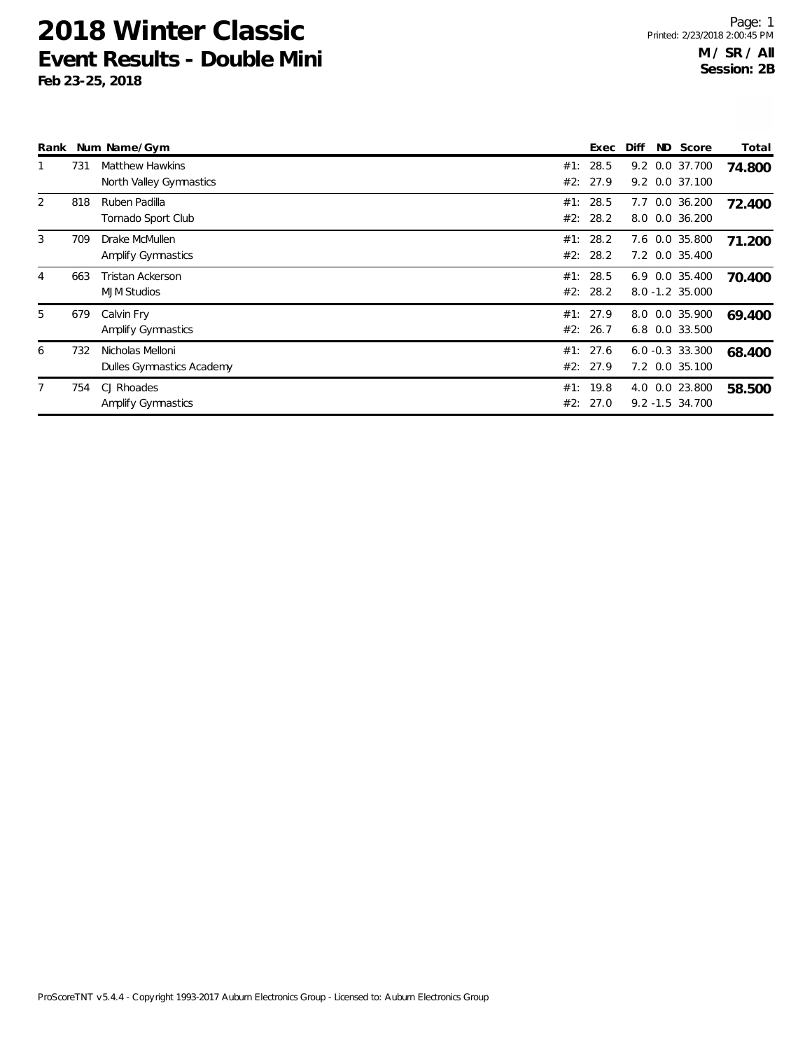| Rank |     | Num Name/Gym                                      |            | Exec                 | Diff<br>ND Score                      | Total  |
|------|-----|---------------------------------------------------|------------|----------------------|---------------------------------------|--------|
|      | 731 | <b>Matthew Hawkins</b><br>North Valley Gymnastics | #1:<br>#2: | 28.5<br>27.9         | 9.2 0.0 37.700<br>9.2 0.0 37.100      | 74.800 |
| 2    | 818 | Ruben Padilla<br>Tornado Sport Club               | #1:        | 28.5<br>#2: 28.2     | $0.0$ 36.200<br>7.7<br>8.0 0.0 36.200 | 72.400 |
| 3    | 709 | Drake McMullen<br><b>Amplify Gymnastics</b>       | #1:        | 28.2<br>#2: 28.2     | 7.6 0.0 35.800<br>7.2 0.0 35.400      | 71.200 |
| 4    | 663 | <b>Tristan Ackerson</b><br><b>MJM Studios</b>     | #1:        | 28.5<br>#2: 28.2     | 6.9 0.0 35.400<br>8.0 -1.2 35.000     | 70.400 |
| 5    | 679 | Calvin Fry<br><b>Amplify Gymnastics</b>           |            | #1: 27.9<br>#2: 26.7 | 8.0 0.0 35.900<br>6.8 0.0 33.500      | 69.400 |
| 6    | 732 | Nicholas Melloni<br>Dulles Gymnastics Academy     |            | #1: 27.6<br>#2: 27.9 | $6.0 -0.3$ 33.300<br>7.2 0.0 35.100   | 68.400 |
|      | 754 | CJ Rhoades<br><b>Amplify Gymnastics</b>           | #1:        | 19.8<br>#2: 27.0     | 4.0 0.0 23.800<br>$9.2 - 1.5$ 34.700  | 58.500 |